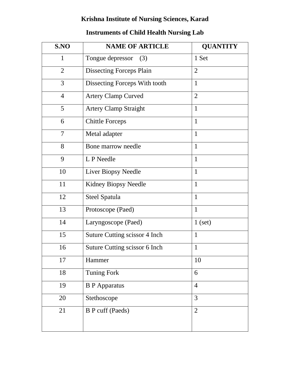## **Krishna Institute of Nursing Sciences, Karad**

## **Instruments of Child Health Nursing Lab**

| S.NO           | <b>NAME OF ARTICLE</b>          | <b>QUANTITY</b> |
|----------------|---------------------------------|-----------------|
| $\mathbf{1}$   | Tongue depressor<br>(3)         | 1 Set           |
| $\overline{2}$ | <b>Dissecting Forceps Plain</b> | $\overline{2}$  |
| $\overline{3}$ | Dissecting Forceps With tooth   | $\mathbf{1}$    |
| $\overline{4}$ | <b>Artery Clamp Curved</b>      | $\overline{2}$  |
| 5              | <b>Artery Clamp Straight</b>    | $\mathbf{1}$    |
| 6              | <b>Chittle Forceps</b>          | $\mathbf{1}$    |
| $\overline{7}$ | Metal adapter                   | $\mathbf{1}$    |
| 8              | Bone marrow needle              | $\mathbf{1}$    |
| 9              | L P Needle                      | $\mathbf{1}$    |
| 10             | Liver Biopsy Needle             | $\mathbf{1}$    |
| 11             | Kidney Biopsy Needle            | $\mathbf{1}$    |
| 12             | Steel Spatula                   | $\mathbf{1}$    |
| 13             | Protoscope (Paed)               | $\mathbf{1}$    |
| 14             | Laryngoscope (Paed)             | $1$ (set)       |
| 15             | Suture Cutting scissor 4 Inch   | $\mathbf{1}$    |
| 16             | Suture Cutting scissor 6 Inch   | $\mathbf{1}$    |
| 17             | Hammer                          | 10              |
| 18             | <b>Tuning Fork</b>              | 6               |
| 19             | <b>B</b> P Apparatus            | $\overline{4}$  |
| 20             | Stethoscope                     | 3               |
| 21             | <b>B</b> P cuff (Paeds)         | $\overline{2}$  |
|                |                                 |                 |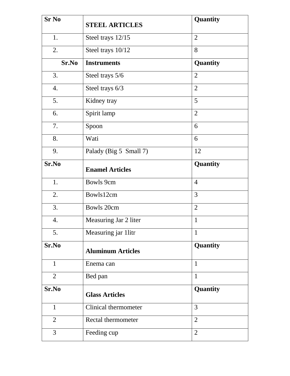| <b>Sr No</b>   | <b>STEEL ARTICLES</b>    | Quantity        |
|----------------|--------------------------|-----------------|
| 1.             | Steel trays 12/15        | $\overline{2}$  |
| 2.             | Steel trays 10/12        | 8               |
| Sr.No          | <b>Instruments</b>       | <b>Quantity</b> |
| 3.             | Steel trays 5/6          | $\overline{2}$  |
| 4.             | Steel trays 6/3          | $\overline{2}$  |
| 5.             | Kidney tray              | 5               |
| 6.             | Spirit lamp              | $\overline{2}$  |
| 7.             | Spoon                    | 6               |
| 8.             | Wati                     | 6               |
| 9.             | Palady (Big 5 Small 7)   | 12              |
| Sr.No          | <b>Enamel Articles</b>   | Quantity        |
| 1.             | <b>Bowls 9cm</b>         | $\overline{4}$  |
| 2.             | Bowls12cm                | 3               |
| 3.             | Bowls 20cm               | $\overline{2}$  |
| 4.             | Measuring Jar 2 liter    | $\mathbf{1}$    |
| 5.             | Measuring jar 1litr      | $\mathbf{1}$    |
| Sr.No          | <b>Aluminum Articles</b> | <b>Quantity</b> |
| $\mathbf{1}$   | Enema can                | $\mathbf{1}$    |
| 2              | Bed pan                  | $\mathbf{1}$    |
| Sr.No          | <b>Glass Articles</b>    | Quantity        |
| $\mathbf{1}$   | Clinical thermometer     | 3               |
| $\overline{2}$ | Rectal thermometer       | $\overline{2}$  |
| 3              | Feeding cup              | $\overline{2}$  |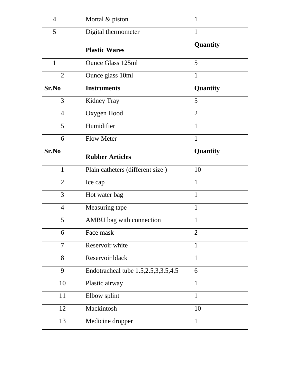| $\overline{4}$ | Mortal & piston                     | $\mathbf{1}$   |
|----------------|-------------------------------------|----------------|
| 5              | Digital thermometer                 | $\mathbf{1}$   |
|                | <b>Plastic Wares</b>                | Quantity       |
| $\mathbf{1}$   | <b>Ounce Glass 125ml</b>            | 5              |
| $\overline{2}$ | Ounce glass 10ml                    | $\mathbf{1}$   |
| Sr.No          | <b>Instruments</b>                  | Quantity       |
| 3              | Kidney Tray                         | 5              |
| $\overline{4}$ | Oxygen Hood                         | $\overline{2}$ |
| 5              | Humidifier                          | $\mathbf{1}$   |
| 6              | <b>Flow Meter</b>                   | $\mathbf{1}$   |
| Sr.No          | <b>Rubber Articles</b>              | Quantity       |
| $\mathbf{1}$   | Plain catheters (different size)    | 10             |
| $\overline{2}$ | Ice cap                             | $\mathbf{1}$   |
| 3              | Hot water bag                       | $\mathbf{1}$   |
| $\overline{4}$ | Measuring tape                      | $\mathbf{1}$   |
| 5              | AMBU bag with connection            | $\mathbf{1}$   |
| 6              | Face mask                           | $\overline{2}$ |
| 7              | Reservoir white                     | $\mathbf{1}$   |
| 8              | Reservoir black                     | $\mathbf{1}$   |
| 9              | Endotracheal tube 1.5,2.5,3,3.5,4.5 | 6              |
| 10             | Plastic airway                      | $\mathbf{1}$   |
| 11             | Elbow splint                        | $\mathbf{1}$   |
| 12             | Mackintosh                          | 10             |
| 13             | Medicine dropper                    | $\mathbf{1}$   |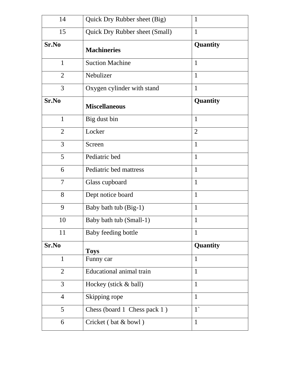| 14             | Quick Dry Rubber sheet (Big)          | $\mathbf{1}$   |
|----------------|---------------------------------------|----------------|
| 15             | <b>Quick Dry Rubber sheet (Small)</b> | $\mathbf{1}$   |
| Sr.No          | <b>Machineries</b>                    | Quantity       |
| 1              | <b>Suction Machine</b>                | $\mathbf{1}$   |
| $\overline{2}$ | Nebulizer                             | $\mathbf{1}$   |
| 3              | Oxygen cylinder with stand            | $\mathbf{1}$   |
| Sr.No          | <b>Miscellaneous</b>                  | Quantity       |
| $\mathbf{1}$   | Big dust bin                          | $\mathbf{1}$   |
| $\overline{2}$ | Locker                                | $\overline{2}$ |
| 3              | Screen                                | $\mathbf{1}$   |
| 5              | Pediatric bed                         | $\mathbf{1}$   |
| 6              | Pediatric bed mattress                | $\mathbf{1}$   |
| 7              | Glass cupboard                        | $\mathbf{1}$   |
| 8              | Dept notice board                     | $\mathbf{1}$   |
| 9              | Baby bath tub (Big-1)                 | $\mathbf{1}$   |
| 10             | Baby bath tub (Small-1)               | $\mathbf{1}$   |
| 11             | Baby feeding bottle                   | $\mathbf{1}$   |
| Sr.No          | <b>Toys</b>                           | Quantity       |
| 1              | Funny car                             | $\mathbf{1}$   |
| $\overline{2}$ | Educational animal train              | $\mathbf{1}$   |
| 3              | Hockey (stick & ball)                 | $\mathbf{1}$   |
| $\overline{4}$ | Skipping rope                         | $\mathbf{1}$   |
| 5              | Chess (board 1 Chess pack 1)          | $1^{\circ}$    |
| 6              | Cricket (bat & bowl)                  | $\mathbf{1}$   |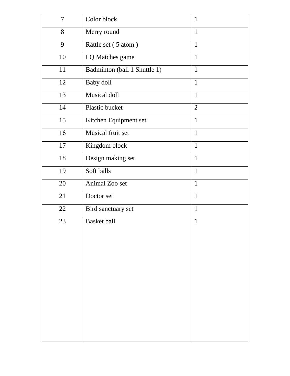| $\overline{7}$ | Color block                  | $\mathbf{1}$   |
|----------------|------------------------------|----------------|
| 8              | Merry round                  | $\mathbf{1}$   |
| 9              | Rattle set (5 atom)          | $\mathbf{1}$   |
| 10             | I Q Matches game             | $\mathbf{1}$   |
| 11             | Badminton (ball 1 Shuttle 1) | $\mathbf{1}$   |
| 12             | Baby doll                    | $\mathbf{1}$   |
| 13             | Musical doll                 | $\mathbf{1}$   |
| 14             | Plastic bucket               | $\overline{2}$ |
| 15             | Kitchen Equipment set        | $\mathbf{1}$   |
| 16             | Musical fruit set            | $\mathbf{1}$   |
| 17             | Kingdom block                | $\mathbf{1}$   |
| 18             | Design making set            | $\mathbf{1}$   |
| 19             | Soft balls                   | $\mathbf{1}$   |
| 20             | Animal Zoo set               | $\mathbf{1}$   |
| 21             | Doctor set                   | $\mathbf{1}$   |
| 22             | Bird sanctuary set           | $\mathbf{1}$   |
| 23             | <b>Basket ball</b>           | $\mathbf{1}$   |
|                |                              |                |
|                |                              |                |
|                |                              |                |
|                |                              |                |
|                |                              |                |
|                |                              |                |
|                |                              |                |
|                |                              |                |
|                |                              |                |